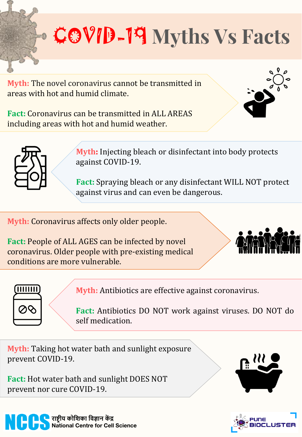## COVID-19 **Myths Vs Facts**

**Myth:** The novel coronavirus cannot be transmitted in areas with hot and humid climate.

**Fact:** Coronavirus can be transmitted in ALL AREAS including areas with hot and humid weather.





**Myth:** Injecting bleach or disinfectant into body protects against COVID-19.

**Fact:** Spraying bleach or any disinfectant WILL NOT protect against virus and can even be dangerous.

**Myth:** Coronavirus affects only older people.

**Fact:** People of ALL AGES can be infected by novel coronavirus. Older people with pre-existing medical conditions are more vulnerable.





**Myth:** Antibiotics are effective against coronavirus.

**Fact:** Antibiotics DO NOT work against viruses. DO NOT do self medication.

**Myth:** Taking hot water bath and sunlight exposure prevent COVID-19.

**Fact:** Hot water bath and sunlight DOES NOT prevent nor cure COVID-19.